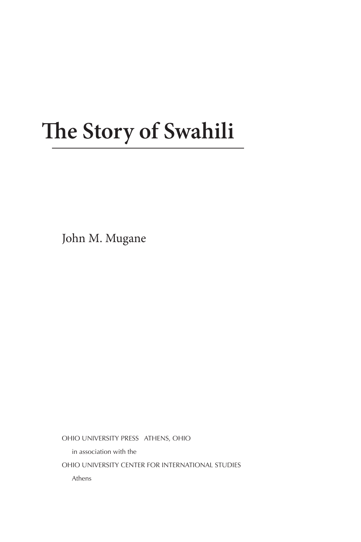# **The Story of Swahili**

John M. Mugane

OHIO UNIVERSITY PRESS ATHENS, OHIO

in association with the

OHIO UNIVERSITY CENTER FOR INTERNATIONAL STUDIES

Athens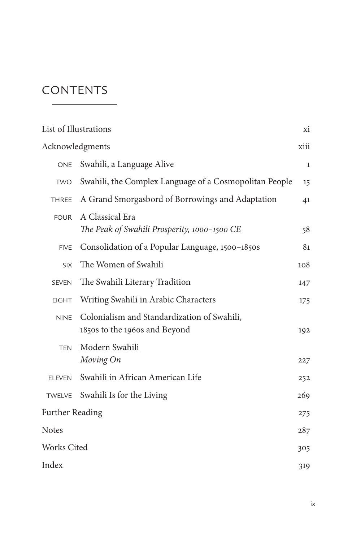### **CONTENTS**

|                    | List of Illustrations                                                        | хi   |
|--------------------|------------------------------------------------------------------------------|------|
| Acknowledgments    |                                                                              | xiii |
| <b>ONE</b>         | Swahili, a Language Alive                                                    | 1    |
| <b>TWO</b>         | Swahili, the Complex Language of a Cosmopolitan People                       | 15   |
| <b>THREE</b>       | A Grand Smorgasbord of Borrowings and Adaptation                             | 41   |
| <b>FOUR</b>        | A Classical Era<br>The Peak of Swahili Prosperity, 1000-1500 CE              | 58   |
| <b>FIVE</b>        | Consolidation of a Popular Language, 1500-1850s                              | 81   |
| <b>SIX</b>         | The Women of Swahili                                                         | 108  |
| <b>SEVEN</b>       | The Swahili Literary Tradition                                               | 147  |
| <b>EIGHT</b>       | Writing Swahili in Arabic Characters                                         | 175  |
| <b>NINE</b>        | Colonialism and Standardization of Swahili,<br>1850s to the 1960s and Beyond | 192  |
| <b>TEN</b>         | Modern Swahili<br>Moving On                                                  | 227  |
| <b>ELEVEN</b>      | Swahili in African American Life                                             | 252  |
| <b>TWELVE</b>      | Swahili Is for the Living                                                    | 269  |
| Further Reading    |                                                                              | 275  |
| <b>Notes</b>       |                                                                              | 287  |
| <b>Works Cited</b> |                                                                              | 305  |
| Index              |                                                                              | 319  |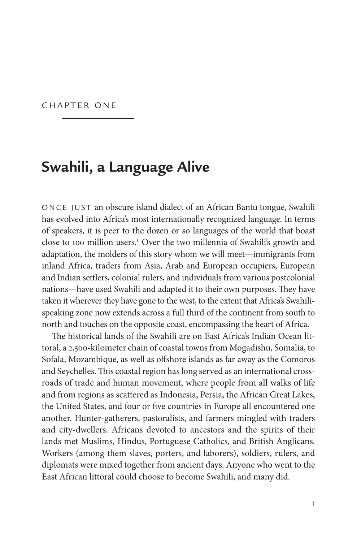CHAPTER ONE

## **Swahili, a Language Alive**

ONCE JUST an obscure island dialect of an African Bantu tongue, Swahili has evolved into Africa's most internationally recognized language. In terms of speakers, it is peer to the dozen or so languages of the world that boast close to 100 million users.<sup>1</sup> Over the two millennia of Swahili's growth and adaptation, the molders of this story whom we will meet—immigrants from inland Africa, traders from Asia, Arab and European occupiers, European and Indian settlers, colonial rulers, and individuals from various postcolonial nations—have used Swahili and adapted it to their own purposes. They have taken it wherever they have gone to the west, to the extent that Africa's Swahilispeaking zone now extends across a full third of the continent from south to north and touches on the opposite coast, encompassing the heart of Africa.

The historical lands of the Swahili are on East Africa's Indian Ocean littoral, a 2,500-kilometer chain of coastal towns from Mogadishu, Somalia, to Sofala, Mozambique, as well as offshore islands as far away as the Comoros and Seychelles. This coastal region has long served as an international crossroads of trade and human movement, where people from all walks of life and from regions as scattered as Indonesia, Persia, the African Great Lakes, the United States, and four or five countries in Europe all encountered one another. Hunter-gatherers, pastoralists, and farmers mingled with traders and city-dwellers. Africans devoted to ancestors and the spirits of their lands met Muslims, Hindus, Portuguese Catholics, and British Anglicans. Workers (among them slaves, porters, and laborers), soldiers, rulers, and diplomats were mixed together from ancient days. Anyone who went to the East African littoral could choose to become Swahili, and many did.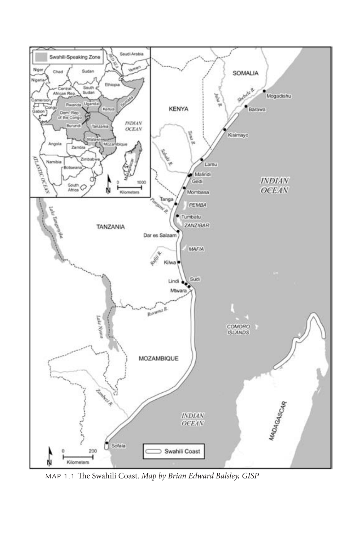

MAP 1.1 The Swahili Coast. *Map by Brian Edward Balsley, GISP*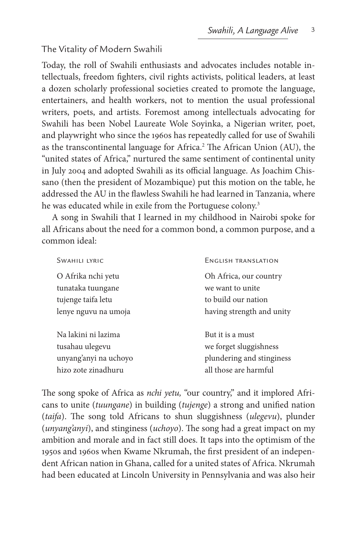### The Vitality of Modern Swahili

Today, the roll of Swahili enthusiasts and advocates includes notable intellectuals, freedom fighters, civil rights activists, political leaders, at least a dozen scholarly professional societies created to promote the language, entertainers, and health workers, not to mention the usual professional writers, poets, and artists. Foremost among intellectuals advocating for Swahili has been Nobel Laureate Wole Soyinka, a Nigerian writer, poet, and playwright who since the 1960s has repeatedly called for use of Swahili as the transcontinental language for Africa.<sup>2</sup> The African Union (AU), the "united states of Africa," nurtured the same sentiment of continental unity in July 2004 and adopted Swahili as its official language. As Joachim Chissano (then the president of Mozambique) put this motion on the table, he addressed the AU in the flawless Swahili he had learned in Tanzania, where he was educated while in exile from the Portuguese colony.<sup>3</sup>

A song in Swahili that I learned in my childhood in Nairobi spoke for all Africans about the need for a common bond, a common purpose, and a common ideal:

| <b>SWAHILI LYRIC</b>  | <b>ENGLISH TRANSLATION</b> |
|-----------------------|----------------------------|
| O Afrika nchi yetu    | Oh Africa, our country     |
| tunataka tuungane     | we want to unite           |
| tujenge taifa letu    | to build our nation        |
| lenye nguvu na umoja  | having strength and unity  |
|                       |                            |
| Na lakini ni lazima   | But it is a must           |
| tusahau ulegevu       | we forget sluggishness     |
| unyang'anyi na uchoyo | plundering and stinginess  |
| hizo zote zinadhuru   | all those are harmful      |

The song spoke of Africa as *nchi yetu,* "our country," and it implored Africans to unite (*tuungane*) in building (*tujenge*) a strong and unified nation (*taifa*). The song told Africans to shun sluggishness (*ulegevu*), plunder (*unyang'anyi*), and stinginess (*uchoyo*). The song had a great impact on my ambition and morale and in fact still does. It taps into the optimism of the 1950s and 1960s when Kwame Nkrumah, the first president of an independent African nation in Ghana, called for a united states of Africa. Nkrumah had been educated at Lincoln University in Pennsylvania and was also heir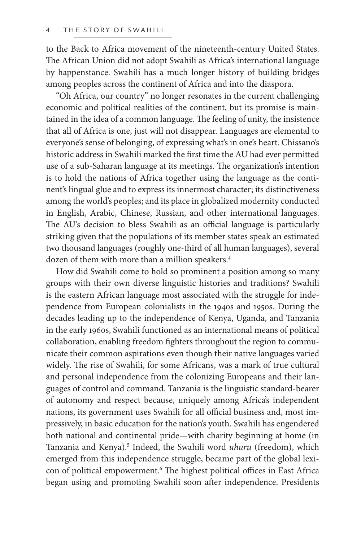to the Back to Africa movement of the nineteenth-century United States. The African Union did not adopt Swahili as Africa's international language by happenstance. Swahili has a much longer history of building bridges among peoples across the continent of Africa and into the diaspora.

"Oh Africa, our country" no longer resonates in the current challenging economic and political realities of the continent, but its promise is maintained in the idea of a common language. The feeling of unity, the insistence that all of Africa is one, just will not disappear. Languages are elemental to everyone's sense of belonging, of expressing what's in one's heart. Chissano's historic address in Swahili marked the first time the AU had ever permitted use of a sub-Saharan language at its meetings. The organization's intention is to hold the nations of Africa together using the language as the continent's lingual glue and to express its innermost character; its distinctiveness among the world's peoples; and its place in globalized modernity conducted in English, Arabic, Chinese, Russian, and other international languages. The AU's decision to bless Swahili as an official language is particularly striking given that the populations of its member states speak an estimated two thousand languages (roughly one-third of all human languages), several dozen of them with more than a million speakers.<sup>4</sup>

How did Swahili come to hold so prominent a position among so many groups with their own diverse linguistic histories and traditions? Swahili is the eastern African language most associated with the struggle for independence from European colonialists in the 1940s and 1950s. During the decades leading up to the independence of Kenya, Uganda, and Tanzania in the early 1960s, Swahili functioned as an international means of political collaboration, enabling freedom fighters throughout the region to communicate their common aspirations even though their native languages varied widely. The rise of Swahili, for some Africans, was a mark of true cultural and personal independence from the colonizing Europeans and their languages of control and command. Tanzania is the linguistic standard-bearer of autonomy and respect because, uniquely among Africa's independent nations, its government uses Swahili for all official business and, most impressively, in basic education for the nation's youth. Swahili has engendered both national and continental pride—with charity beginning at home (in Tanzania and Kenya).<sup>5</sup> Indeed, the Swahili word *uhuru* (freedom), which emerged from this independence struggle, became part of the global lexicon of political empowerment.<sup>6</sup> The highest political offices in East Africa began using and promoting Swahili soon after independence. Presidents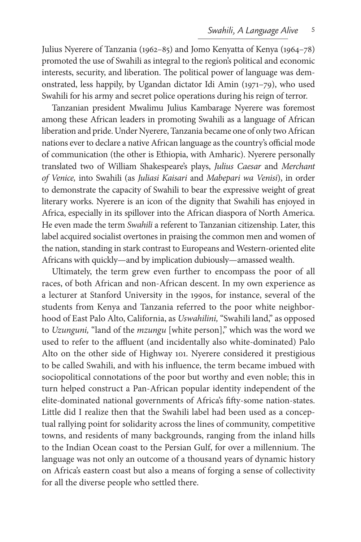Julius Nyerere of Tanzania (1962–85) and Jomo Kenyatta of Kenya (1964–78) promoted the use of Swahili as integral to the region's political and economic interests, security, and liberation. The political power of language was demonstrated, less happily, by Ugandan dictator Idi Amin (1971–79), who used Swahili for his army and secret police operations during his reign of terror.

Tanzanian president Mwalimu Julius Kambarage Nyerere was foremost among these African leaders in promoting Swahili as a language of African liberation and pride. Under Nyerere, Tanzania became one of only two African nations ever to declare a native African language as the country's official mode of communication (the other is Ethiopia, with Amharic). Nyerere personally translated two of William Shakespeare's plays, *Julius Caesar* and *Merchant of Venice,* into Swahili (as *Juliasi Kaisari* and *Mabepari wa Venisi*), in order to demonstrate the capacity of Swahili to bear the expressive weight of great literary works. Nyerere is an icon of the dignity that Swahili has enjoyed in Africa, especially in its spillover into the African diaspora of North America. He even made the term *Swahili* a referent to Tanzanian citizenship. Later, this label acquired socialist overtones in praising the common men and women of the nation, standing in stark contrast to Europeans and Western-oriented elite Africans with quickly—and by implication dubiously—amassed wealth.

Ultimately, the term grew even further to encompass the poor of all races, of both African and non-African descent. In my own experience as a lecturer at Stanford University in the 1990s, for instance, several of the students from Kenya and Tanzania referred to the poor white neighborhood of East Palo Alto, California, as *Uswahilini,* "Swahili land," as opposed to *Uzunguni,* "land of the *mzungu* [white person]," which was the word we used to refer to the affluent (and incidentally also white-dominated) Palo Alto on the other side of Highway 101. Nyerere considered it prestigious to be called Swahili, and with his influence, the term became imbued with sociopolitical connotations of the poor but worthy and even noble; this in turn helped construct a Pan-African popular identity independent of the elite-dominated national governments of Africa's fifty-some nation-states. Little did I realize then that the Swahili label had been used as a conceptual rallying point for solidarity across the lines of community, competitive towns, and residents of many backgrounds, ranging from the inland hills to the Indian Ocean coast to the Persian Gulf, for over a millennium. The language was not only an outcome of a thousand years of dynamic history on Africa's eastern coast but also a means of forging a sense of collectivity for all the diverse people who settled there.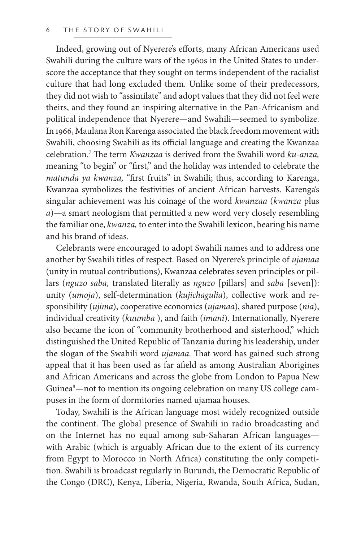Indeed, growing out of Nyerere's efforts, many African Americans used Swahili during the culture wars of the 1960s in the United States to underscore the acceptance that they sought on terms independent of the racialist culture that had long excluded them. Unlike some of their predecessors, they did not wish to "assimilate" and adopt values that they did not feel were theirs, and they found an inspiring alternative in the Pan-Africanism and political independence that Nyerere—and Swahili—seemed to symbolize. In 1966, Maulana Ron Karenga associated the black freedom movement with Swahili, choosing Swahili as its official language and creating the Kwanzaa celebration.7 The term *Kwanzaa* is derived from the Swahili word *ku-anza,* meaning "to begin" or "first," and the holiday was intended to celebrate the *matunda ya kwanza,* "first fruits" in Swahili; thus, according to Karenga, Kwanzaa symbolizes the festivities of ancient African harvests. Karenga's singular achievement was his coinage of the word *kwanzaa* (*kwanza* plus *a*)—a smart neologism that permitted a new word very closely resembling the familiar one, *kwanza,* to enter into the Swahili lexicon, bearing his name and his brand of ideas.

Celebrants were encouraged to adopt Swahili names and to address one another by Swahili titles of respect. Based on Nyerere's principle of *ujamaa* (unity in mutual contributions), Kwanzaa celebrates seven principles or pillars (*nguzo saba,* translated literally as *nguzo* [pillars] and *saba* [seven]): unity (*umoja*), self-determination (*kujichagulia*), collective work and responsibility (*ujima*), cooperative economics (*ujamaa*), shared purpose (*nia*), individual creativity (*kuumba* ), and faith (*imani*). Internationally, Nyerere also became the icon of "community brotherhood and sisterhood," which distinguished the United Republic of Tanzania during his leadership, under the slogan of the Swahili word *ujamaa.* That word has gained such strong appeal that it has been used as far afield as among Australian Aborigines and African Americans and across the globe from London to Papua New Guinea<sup>8</sup> —not to mention its ongoing celebration on many US college campuses in the form of dormitories named ujamaa houses.

Today, Swahili is the African language most widely recognized outside the continent. The global presence of Swahili in radio broadcasting and on the Internet has no equal among sub-Saharan African languages with Arabic (which is arguably African due to the extent of its currency from Egypt to Morocco in North Africa) constituting the only competition. Swahili is broadcast regularly in Burundi, the Democratic Republic of the Congo (DRC), Kenya, Liberia, Nigeria, Rwanda, South Africa, Sudan,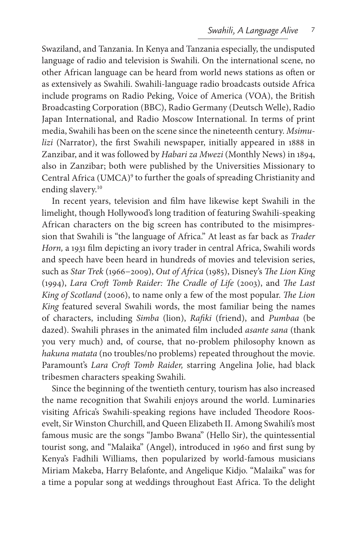Swaziland, and Tanzania. In Kenya and Tanzania especially, the undisputed language of radio and television is Swahili. On the international scene, no other African language can be heard from world news stations as often or as extensively as Swahili. Swahili-language radio broadcasts outside Africa include programs on Radio Peking, Voice of America (VOA), the British Broadcasting Corporation (BBC), Radio Germany (Deutsch Welle), Radio Japan International, and Radio Moscow International. In terms of print media, Swahili has been on the scene since the nineteenth century. *Msimulizi* (Narrator), the first Swahili newspaper, initially appeared in 1888 in Zanzibar, and it was followed by *Habari za Mwezi* (Monthly News) in 1894, also in Zanzibar; both were published by the Universities Missionary to Central Africa (UMCA)<sup>9</sup> to further the goals of spreading Christianity and ending slavery.<sup>10</sup>

In recent years, television and film have likewise kept Swahili in the limelight, though Hollywood's long tradition of featuring Swahili-speaking African characters on the big screen has contributed to the misimpression that Swahili is "the language of Africa." At least as far back as *Trader Horn,* a 1931 film depicting an ivory trader in central Africa, Swahili words and speech have been heard in hundreds of movies and television series, such as *Star Trek* (1966−2009), *Out of Africa* (1985), Disney's *The Lion King*  (1994), *Lara Croft Tomb Raider: The Cradle of Life* (2003), and *The Last King of Scotland* (2006), to name only a few of the most popular. *The Lion King* featured several Swahili words, the most familiar being the names of characters, including *Simba* (lion), *Rafiki* (friend), and *Pumbaa* (be dazed). Swahili phrases in the animated film included *asante sana* (thank you very much) and, of course, that no-problem philosophy known as *hakuna matata* (no troubles/no problems) repeated throughout the movie. Paramount's *Lara Croft Tomb Raider,* starring Angelina Jolie, had black tribesmen characters speaking Swahili.

Since the beginning of the twentieth century, tourism has also increased the name recognition that Swahili enjoys around the world. Luminaries visiting Africa's Swahili-speaking regions have included Theodore Roosevelt, Sir Winston Churchill, and Queen Elizabeth II. Among Swahili's most famous music are the songs "Jambo Bwana" (Hello Sir), the quintessential tourist song, and "Malaika" (Angel), introduced in 1960 and first sung by Kenya's Fadhili Williams, then popularized by world-famous musicians Miriam Makeba, Harry Belafonte, and Angelique Kidjo. "Malaika" was for a time a popular song at weddings throughout East Africa. To the delight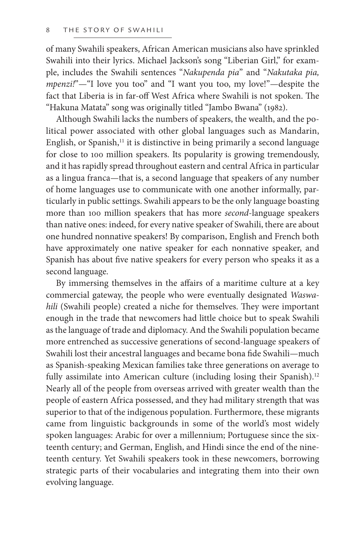of many Swahili speakers, African American musicians also have sprinkled Swahili into their lyrics. Michael Jackson's song "Liberian Girl," for example, includes the Swahili sentences "*Nakupenda pia*" and "*Nakutaka pia, mpenzi!*"—"I love you too" and "I want you too, my love!"—despite the fact that Liberia is in far-off West Africa where Swahili is not spoken. The "Hakuna Matata" song was originally titled "Jambo Bwana" (1982).

Although Swahili lacks the numbers of speakers, the wealth, and the political power associated with other global languages such as Mandarin, English, or Spanish, $11$  it is distinctive in being primarily a second language for close to 100 million speakers. Its popularity is growing tremendously, and it has rapidly spread throughout eastern and central Africa in particular as a lingua franca—that is, a second language that speakers of any number of home languages use to communicate with one another informally, particularly in public settings. Swahili appears to be the only language boasting more than 100 million speakers that has more *second*-language speakers than native ones: indeed, for every native speaker of Swahili, there are about one hundred nonnative speakers! By comparison, English and French both have approximately one native speaker for each nonnative speaker, and Spanish has about five native speakers for every person who speaks it as a second language.

By immersing themselves in the affairs of a maritime culture at a key commercial gateway, the people who were eventually designated *Waswahili* (Swahili people) created a niche for themselves. They were important enough in the trade that newcomers had little choice but to speak Swahili as the language of trade and diplomacy. And the Swahili population became more entrenched as successive generations of second-language speakers of Swahili lost their ancestral languages and became bona fide Swahili—much as Spanish-speaking Mexican families take three generations on average to fully assimilate into American culture (including losing their Spanish).<sup>12</sup> Nearly all of the people from overseas arrived with greater wealth than the people of eastern Africa possessed, and they had military strength that was superior to that of the indigenous population. Furthermore, these migrants came from linguistic backgrounds in some of the world's most widely spoken languages: Arabic for over a millennium; Portuguese since the sixteenth century; and German, English, and Hindi since the end of the nineteenth century. Yet Swahili speakers took in these newcomers, borrowing strategic parts of their vocabularies and integrating them into their own evolving language.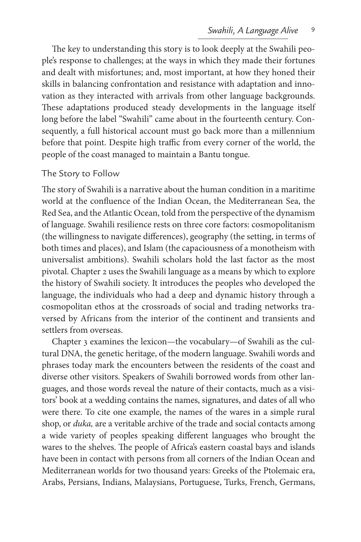The key to understanding this story is to look deeply at the Swahili people's response to challenges; at the ways in which they made their fortunes and dealt with misfortunes; and, most important, at how they honed their skills in balancing confrontation and resistance with adaptation and innovation as they interacted with arrivals from other language backgrounds. These adaptations produced steady developments in the language itself long before the label "Swahili" came about in the fourteenth century. Consequently, a full historical account must go back more than a millennium before that point. Despite high traffic from every corner of the world, the people of the coast managed to maintain a Bantu tongue.

#### The Story to Follow

The story of Swahili is a narrative about the human condition in a maritime world at the confluence of the Indian Ocean, the Mediterranean Sea, the Red Sea, and the Atlantic Ocean, told from the perspective of the dynamism of language. Swahili resilience rests on three core factors: cosmopolitanism (the willingness to navigate differences), geography (the setting, in terms of both times and places), and Islam (the capaciousness of a monotheism with universalist ambitions). Swahili scholars hold the last factor as the most pivotal. Chapter 2 uses the Swahili language as a means by which to explore the history of Swahili society. It introduces the peoples who developed the language, the individuals who had a deep and dynamic history through a cosmopolitan ethos at the crossroads of social and trading networks traversed by Africans from the interior of the continent and transients and settlers from overseas.

Chapter 3 examines the lexicon—the vocabulary—of Swahili as the cultural DNA, the genetic heritage, of the modern language. Swahili words and phrases today mark the encounters between the residents of the coast and diverse other visitors. Speakers of Swahili borrowed words from other languages, and those words reveal the nature of their contacts, much as a visitors' book at a wedding contains the names, signatures, and dates of all who were there. To cite one example, the names of the wares in a simple rural shop, or *duka,* are a veritable archive of the trade and social contacts among a wide variety of peoples speaking different languages who brought the wares to the shelves. The people of Africa's eastern coastal bays and islands have been in contact with persons from all corners of the Indian Ocean and Mediterranean worlds for two thousand years: Greeks of the Ptolemaic era, Arabs, Persians, Indians, Malaysians, Portuguese, Turks, French, Germans,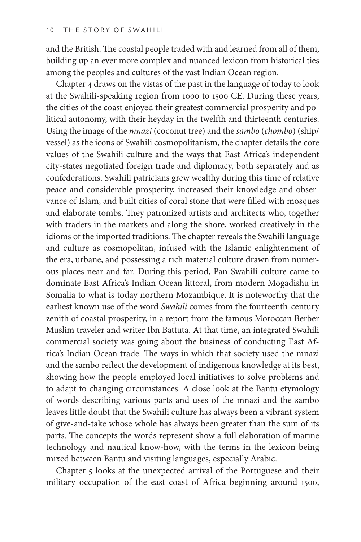and the British. The coastal people traded with and learned from all of them, building up an ever more complex and nuanced lexicon from historical ties among the peoples and cultures of the vast Indian Ocean region.

Chapter 4 draws on the vistas of the past in the language of today to look at the Swahili-speaking region from 1000 to 1500 CE. During these years, the cities of the coast enjoyed their greatest commercial prosperity and political autonomy, with their heyday in the twelfth and thirteenth centuries. Using the image of the *mnazi* (coconut tree) and the *sambo* (*chombo*) (ship/ vessel) as the icons of Swahili cosmopolitanism, the chapter details the core values of the Swahili culture and the ways that East Africa's independent city-states negotiated foreign trade and diplomacy, both separately and as confederations. Swahili patricians grew wealthy during this time of relative peace and considerable prosperity, increased their knowledge and observance of Islam, and built cities of coral stone that were filled with mosques and elaborate tombs. They patronized artists and architects who, together with traders in the markets and along the shore, worked creatively in the idioms of the imported traditions. The chapter reveals the Swahili language and culture as cosmopolitan, infused with the Islamic enlightenment of the era, urbane, and possessing a rich material culture drawn from numerous places near and far. During this period, Pan-Swahili culture came to dominate East Africa's Indian Ocean littoral, from modern Mogadishu in Somalia to what is today northern Mozambique. It is noteworthy that the earliest known use of the word *Swahili* comes from the fourteenth-century zenith of coastal prosperity, in a report from the famous Moroccan Berber Muslim traveler and writer Ibn Battuta. At that time, an integrated Swahili commercial society was going about the business of conducting East Africa's Indian Ocean trade. The ways in which that society used the mnazi and the sambo reflect the development of indigenous knowledge at its best, showing how the people employed local initiatives to solve problems and to adapt to changing circumstances. A close look at the Bantu etymology of words describing various parts and uses of the mnazi and the sambo leaves little doubt that the Swahili culture has always been a vibrant system of give-and-take whose whole has always been greater than the sum of its parts. The concepts the words represent show a full elaboration of marine technology and nautical know-how, with the terms in the lexicon being mixed between Bantu and visiting languages, especially Arabic.

Chapter 5 looks at the unexpected arrival of the Portuguese and their military occupation of the east coast of Africa beginning around 1500,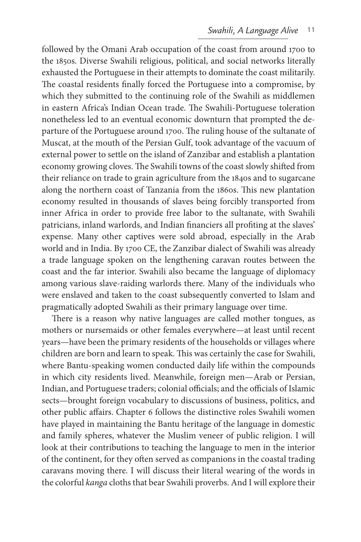followed by the Omani Arab occupation of the coast from around 1700 to the 1850s. Diverse Swahili religious, political, and social networks literally exhausted the Portuguese in their attempts to dominate the coast militarily. The coastal residents finally forced the Portuguese into a compromise, by which they submitted to the continuing role of the Swahili as middlemen in eastern Africa's Indian Ocean trade. The Swahili-Portuguese toleration nonetheless led to an eventual economic downturn that prompted the departure of the Portuguese around 1700. The ruling house of the sultanate of Muscat, at the mouth of the Persian Gulf, took advantage of the vacuum of external power to settle on the island of Zanzibar and establish a plantation economy growing cloves. The Swahili towns of the coast slowly shifted from their reliance on trade to grain agriculture from the 1840s and to sugarcane along the northern coast of Tanzania from the 1860s. This new plantation economy resulted in thousands of slaves being forcibly transported from inner Africa in order to provide free labor to the sultanate, with Swahili patricians, inland warlords, and Indian financiers all profiting at the slaves' expense. Many other captives were sold abroad, especially in the Arab world and in India. By 1700 CE, the Zanzibar dialect of Swahili was already a trade language spoken on the lengthening caravan routes between the coast and the far interior. Swahili also became the language of diplomacy among various slave-raiding warlords there. Many of the individuals who were enslaved and taken to the coast subsequently converted to Islam and pragmatically adopted Swahili as their primary language over time.

There is a reason why native languages are called mother tongues, as mothers or nursemaids or other females everywhere—at least until recent years—have been the primary residents of the households or villages where children are born and learn to speak. This was certainly the case for Swahili, where Bantu-speaking women conducted daily life within the compounds in which city residents lived. Meanwhile, foreign men—Arab or Persian, Indian, and Portuguese traders; colonial officials; and the officials of Islamic sects—brought foreign vocabulary to discussions of business, politics, and other public affairs. Chapter 6 follows the distinctive roles Swahili women have played in maintaining the Bantu heritage of the language in domestic and family spheres, whatever the Muslim veneer of public religion. I will look at their contributions to teaching the language to men in the interior of the continent, for they often served as companions in the coastal trading caravans moving there. I will discuss their literal wearing of the words in the colorful *kanga* cloths that bear Swahili proverbs. And I will explore their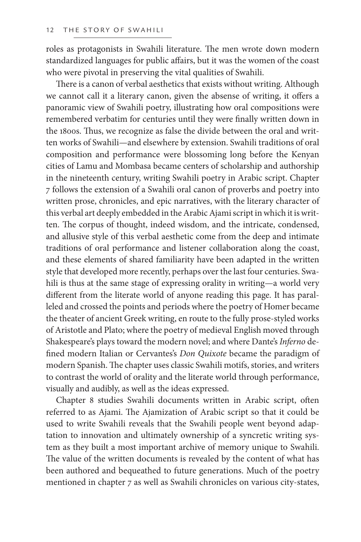roles as protagonists in Swahili literature. The men wrote down modern standardized languages for public affairs, but it was the women of the coast who were pivotal in preserving the vital qualities of Swahili.

There is a canon of verbal aesthetics that exists without writing. Although we cannot call it a literary canon, given the absense of writing, it offers a panoramic view of Swahili poetry, illustrating how oral compositions were remembered verbatim for centuries until they were finally written down in the 1800s. Thus, we recognize as false the divide between the oral and written works of Swahili—and elsewhere by extension. Swahili traditions of oral composition and performance were blossoming long before the Kenyan cities of Lamu and Mombasa became centers of scholarship and authorship in the nineteenth century, writing Swahili poetry in Arabic script. Chapter 7 follows the extension of a Swahili oral canon of proverbs and poetry into written prose, chronicles, and epic narratives, with the literary character of this verbal art deeply embedded in the Arabic Ajami script in which it is written. The corpus of thought, indeed wisdom, and the intricate, condensed, and allusive style of this verbal aesthetic come from the deep and intimate traditions of oral performance and listener collaboration along the coast, and these elements of shared familiarity have been adapted in the written style that developed more recently, perhaps over the last four centuries. Swahili is thus at the same stage of expressing orality in writing—a world very different from the literate world of anyone reading this page. It has paralleled and crossed the points and periods where the poetry of Homer became the theater of ancient Greek writing, en route to the fully prose-styled works of Aristotle and Plato; where the poetry of medieval English moved through Shakespeare's plays toward the modern novel; and where Dante's *Inferno* defined modern Italian or Cervantes's *Don Quixote* became the paradigm of modern Spanish. The chapter uses classic Swahili motifs, stories, and writers to contrast the world of orality and the literate world through performance, visually and audibly, as well as the ideas expressed.

Chapter 8 studies Swahili documents written in Arabic script, often referred to as Ajami. The Ajamization of Arabic script so that it could be used to write Swahili reveals that the Swahili people went beyond adaptation to innovation and ultimately ownership of a syncretic writing system as they built a most important archive of memory unique to Swahili. The value of the written documents is revealed by the content of what has been authored and bequeathed to future generations. Much of the poetry mentioned in chapter 7 as well as Swahili chronicles on various city-states,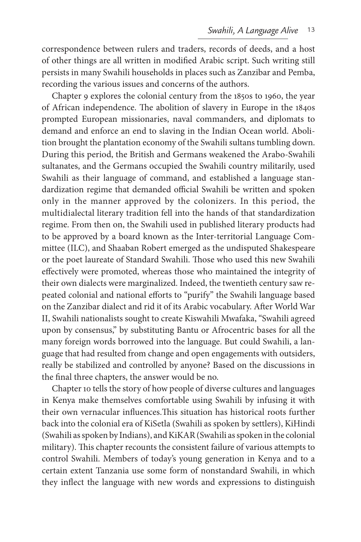correspondence between rulers and traders, records of deeds, and a host of other things are all written in modified Arabic script. Such writing still persists in many Swahili households in places such as Zanzibar and Pemba, recording the various issues and concerns of the authors.

Chapter 9 explores the colonial century from the 1850s to 1960, the year of African independence. The abolition of slavery in Europe in the 1840s prompted European missionaries, naval commanders, and diplomats to demand and enforce an end to slaving in the Indian Ocean world. Abolition brought the plantation economy of the Swahili sultans tumbling down. During this period, the British and Germans weakened the Arabo-Swahili sultanates, and the Germans occupied the Swahili country militarily, used Swahili as their language of command, and established a language standardization regime that demanded official Swahili be written and spoken only in the manner approved by the colonizers. In this period, the multidialectal literary tradition fell into the hands of that standardization regime. From then on, the Swahili used in published literary products had to be approved by a board known as the Inter-territorial Language Committee (ILC), and Shaaban Robert emerged as the undisputed Shakespeare or the poet laureate of Standard Swahili. Those who used this new Swahili effectively were promoted, whereas those who maintained the integrity of their own dialects were marginalized. Indeed, the twentieth century saw repeated colonial and national efforts to "purify" the Swahili language based on the Zanzibar dialect and rid it of its Arabic vocabulary. After World War II, Swahili nationalists sought to create Kiswahili Mwafaka, "Swahili agreed upon by consensus," by substituting Bantu or Afrocentric bases for all the many foreign words borrowed into the language. But could Swahili, a language that had resulted from change and open engagements with outsiders, really be stabilized and controlled by anyone? Based on the discussions in the final three chapters, the answer would be no.

Chapter 10 tells the story of how people of diverse cultures and languages in Kenya make themselves comfortable using Swahili by infusing it with their own vernacular influences.This situation has historical roots further back into the colonial era of KiSetla (Swahili as spoken by settlers), KiHindi (Swahili as spoken by Indians), and KiKAR(Swahili as spoken in the colonial military). This chapter recounts the consistent failure of various attempts to control Swahili. Members of today's young generation in Kenya and to a certain extent Tanzania use some form of nonstandard Swahili, in which they inflect the language with new words and expressions to distinguish